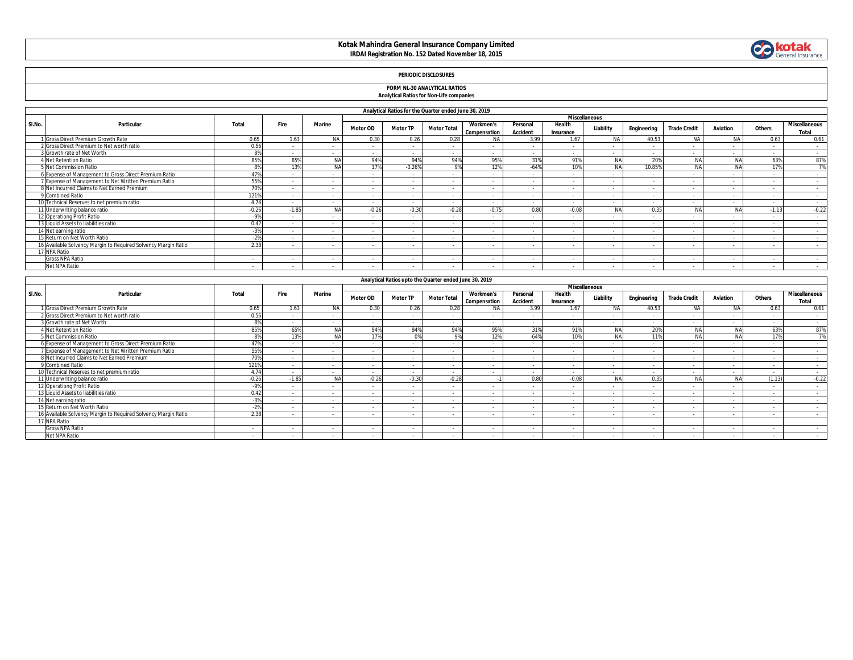## **Kotak Mahindra General Insurance Company Limited IRDAI Registration No. 152 Dated November 18, 2015**



### **PERIODIC DISCLOSURES**

#### **FORM NL-30 ANALYTICAL RATIOS Analytical Ratios for Non-Life companies**

|  |  | <b>Alialytical Katios for Nort-Life companies</b> |  |
|--|--|---------------------------------------------------|--|
|  |  |                                                   |  |

|        | Analytical Ratios for the Quarter ended June 30, 2019          |              |         |        |                 |                 |                          |                                  |                             |                     |                          |             |                     |                 |               |                                      |
|--------|----------------------------------------------------------------|--------------|---------|--------|-----------------|-----------------|--------------------------|----------------------------------|-----------------------------|---------------------|--------------------------|-------------|---------------------|-----------------|---------------|--------------------------------------|
|        |                                                                |              |         |        |                 |                 |                          |                                  |                             |                     | <b>Miscellaneous</b>     |             |                     |                 |               |                                      |
| SI.No. | Particular                                                     | <b>Total</b> | Fire    | Marine | <b>Motor OD</b> | <b>Motor TP</b> | <b>Motor Total</b>       | <b>Workmen's</b><br>Compensation | Personal<br><b>Accident</b> | Health<br>Insurance | Liability                | Engineering | <b>Trade Credit</b> | <b>Aviation</b> | <b>Others</b> | <b>Miscellaneous</b><br><b>Total</b> |
|        | 1 Gross Direct Premium Growth Rate                             | 0.65         | 1.63    | NA     | 0.30            | 0.26            | 0.28                     | <b>NA</b>                        | 3.99                        | 1.67                | NA.                      | 40.53       | ΝA                  | NA              | 0.63          | 0.61                                 |
|        | 2 Gross Direct Premium to Net worth ratio                      | 0.56         |         |        | $\sim$          | $\sim$          | $\sim$                   |                                  | $\sim$                      |                     |                          |             | $\sim$              | $\sim$          | $\sim$        | $\sim$                               |
|        | 3 Growth rate of Net Worth                                     | 8%           | $\sim$  | $\sim$ | $\sim$          | $\sim$          | $\sim$                   | $\sim$                           | $\sim$                      | $\sim$              | $\sim$                   |             | $\sim$              | $\sim$          | $\sim$        | $\sim$                               |
|        | 4 Net Retention Ratio                                          | 85%          | 65%     | NA     | 94%             | 94%             | 94%                      | 95%                              | 31%                         | 91%                 | <b>NA</b>                | 20%         |                     | <b>NA</b>       | 63%           | 87%                                  |
|        | 5 Net Commission Ratio                                         | 8%           | 13%     | NA     | 17%             | $-0.26%$        | 9%                       | 12%                              | $-64%$                      | 10%                 | <b>NA</b>                | 10.85%      | ΝA                  | <b>NA</b>       | 17%           | 7%                                   |
|        | 6 Expense of Management to Gross Direct Premium Ratio          | 47%          |         |        | $\sim$          | $\sim$          |                          |                                  | $\sim$                      |                     |                          |             | $\sim$              |                 |               | $\sim$                               |
|        | 7 Expense of Management to Net Written Premium Ratio           | 55%          |         |        |                 | $\sim$          |                          |                                  | - 14                        |                     |                          |             | $\sim$              |                 |               | $\sim$                               |
|        | 8 Net Incurred Claims to Net Earned Premium                    | 70%          |         |        | $\sim$          | $\sim$          |                          |                                  | $\sim$                      |                     |                          |             | $\sim$              |                 |               | $\sim$                               |
|        | 9 Combined Ratio                                               | 121%         | $\sim$  |        | $\sim$          | $\sim$          | $\sim$                   |                                  | $\sim$                      |                     |                          |             | $\sim$              | $\sim$          | $\sim$        | $\sim$                               |
|        | 10 Technical Reserves to net premium ratio                     | 4.74         |         |        |                 | $\sim$          | $\sim$                   |                                  | - 14                        | $\sim$              |                          | $\sim$      | $\sim$              |                 |               | $\sim$                               |
|        | 11 Underwriting balance ratio                                  | $-0.26$      | $-1.85$ |        | $-0.26$         | $-0.30$         | $-0.28$                  | $-0.75$                          | 0.80                        | $-0.08$             |                          | 0.35        |                     | NA              | $-1.13$       | $-0.22$                              |
|        | 12 Operationg Profit Ratio                                     | $-9%$        |         |        |                 | $\sim$          |                          |                                  | $\sim$                      |                     |                          |             | $\sim$              |                 |               | $\sim$                               |
|        | 13 Liquid Assets to liabilities ratio                          | 0.42         |         |        |                 |                 |                          |                                  |                             |                     |                          |             |                     |                 |               | $\sim$                               |
|        | 14 Net earning ratio                                           | $-3%$        | $\sim$  |        | $\sim$          | $\sim$          | $\sim$                   |                                  | $\sim$                      |                     |                          |             | $\sim$              | $\sim$          | $\sim$        | $\sim$                               |
|        | 15 Return on Net Worth Ratio                                   | $-2%$        |         |        | $\sim$          | $\sim$          |                          |                                  | - 14                        |                     |                          |             | $\sim$              |                 |               | $\sim$                               |
|        | 16 Available Solvency Margin to Required Solvency Margin Ratio | 2.38         |         |        | $\sim$          | $\sim$          | $\overline{\phantom{a}}$ |                                  | $\sim$                      |                     | $\overline{\phantom{a}}$ |             | $\sim$              |                 | $\sim$        | $\sim$                               |
|        | 17 NPA Ratio                                                   |              |         |        |                 |                 |                          |                                  |                             |                     |                          |             |                     |                 |               |                                      |
|        | Gross NPA Ratio                                                | $\sim$       |         |        | $\sim$          | $\sim$          | $\overline{\phantom{a}}$ |                                  | $\sim$                      | . .                 |                          |             | $\sim$              | $\sim$          | $\sim$        | $\sim$                               |
|        | Net NPA Ratio                                                  | $\sim$       |         |        |                 | $\sim$          | $\sim$                   |                                  | $\sim$                      |                     |                          |             |                     |                 | $\sim$        | $\sim$                               |

|        |                                                                |         |             |               |                 |                 | Analytical Ratios upto the Quarter ended June 30, 2019 |                           |                             |                     |                          |             |                     |                 |        |                               |
|--------|----------------------------------------------------------------|---------|-------------|---------------|-----------------|-----------------|--------------------------------------------------------|---------------------------|-----------------------------|---------------------|--------------------------|-------------|---------------------|-----------------|--------|-------------------------------|
|        |                                                                |         |             |               |                 |                 |                                                        |                           |                             |                     | <b>Miscellaneous</b>     |             |                     |                 |        |                               |
| SI.No. | Particular                                                     | Total   | <b>Fire</b> | <b>Marine</b> | <b>Motor OD</b> | <b>Motor TP</b> | <b>Motor Total</b>                                     | Workmen's<br>Compensation | Personal<br><b>Accident</b> | Health<br>Insurance | Liability                | Engineering | <b>Trade Credit</b> | <b>Aviation</b> | Others | <b>Miscellaneous</b><br>Total |
|        | I Gross Direct Premium Growth Rate                             | 0.65    | 1.63        | NA            | 0.30            | 0.26            | 0.28                                                   | <b>NA</b>                 | 3.99                        | 1.67                | NA.                      | 40.53       | <b>NA</b>           | NA              | 0.63   | 0.61                          |
|        | 2 Gross Direct Premium to Net worth ratio                      | 0.56    |             |               | $\sim$          | $\sim$          | $\sim$                                                 |                           | $\sim$                      | $\sim$              | $\sim$                   | $\sim$      | $\sim$              | $\sim$          | $\sim$ | $\sim$                        |
|        | 3 Growth rate of Net Worth                                     |         | $\sim$      | $\sim$        | $\sim$          | $\sim$          | $\sim$                                                 | $\sim$                    | $\sim$                      | $\sim$              | $\sim$                   | $\sim$      | $\sim$              | $\sim$          | $\sim$ | $\sim$                        |
|        | <b>Net Retention Ratio</b>                                     | 85%     | 65%         | NA            | 94%             | 94%             | 94%                                                    | 95%                       | 31%                         | 91%                 |                          | 20%         | N/                  | NA              | 63%    | 87%                           |
|        | 5 Net Commission Ratio                                         |         | 13%         | ΝA            | 17%             | 0%              | 9%                                                     | 12%                       | $-64%$                      | 10%                 | <b>NA</b>                | 11%         | NA                  | NA              | 170/   | 70I                           |
|        | 6 Expense of Management to Gross Direct Premium Ratio          | 47%     |             |               | $\sim$          | $\sim$          |                                                        |                           |                             |                     |                          |             | $\sim$              |                 |        | $\sim$                        |
|        | Z Expense of Management to Net Written Premium Ratio           | 55%     |             |               | $\sim$          | $\sim$          | $\sim$                                                 |                           | $\sim$                      |                     | $\sim$                   | $\sim$      | $\sim$              | $\sim$          | $\sim$ | $\sim$                        |
|        | 8 Net Incurred Claims to Net Earned Premium                    | 70%     | $\sim$      |               | $\sim$          | $\sim$          | $\sim$                                                 | $\sim$                    | $\sim$                      | $\sim$              | $\sim$                   | $\sim$      | $\sim$              | $\sim$          | $\sim$ | $\sim$                        |
|        | 9 Combined Ratio                                               | 121%    | $\sim$      | $\sim$        | $\sim$          | $\sim$          | $\sim$                                                 | $\sim$                    | $\sim$                      |                     | $\sim$                   | $\sim$      | $\sim$              |                 |        | $\sim$                        |
|        | 10 Technical Reserves to net premium ratio                     | 4.74    |             |               | $\sim$          | $\sim$          | $\sim$                                                 |                           | $\sim$                      |                     | $\sim$                   | $\sim$      | $\sim$              | $\sim$          |        | $\sim$                        |
|        | 11 Underwriting balance ratio                                  | $-0.26$ | $-1.85$     | NA            | $-0.26$         | $-0.30$         | $-0.28$                                                |                           | 0.80                        | $-0.08$             | NΔ                       | 0.35        | NA                  | NA              | (1.13) | $-0.22$                       |
|        | 12 Operationg Profit Ratio                                     | $-9%$   | $\sim$      | $\sim$        | $\sim$          | $\sim$          | <b>Section</b>                                         | $\sim$                    | $\sim$                      | $\sim$              | $\sim$                   | $\sim$      | $\sim$              | $\sim$          | $\sim$ | $\sim$                        |
|        | 13 Liquid Assets to liabilities ratio                          | 0.42    | $\sim$      |               | $\sim$          | $\sim$          | $\sim$                                                 | $\sim$                    | $\sim$                      | $\sim$              | $\sim$                   | $\sim$      | $\sim$              | $\sim$          | $\sim$ | $\sim$                        |
|        | 14 Net earning ratio                                           | $-3%$   | - 14        | $\sim$        | $\sim$          | $\sim$          | - 11                                                   |                           | $\overline{\phantom{a}}$    |                     | $\overline{\phantom{a}}$ | $\sim$      | $\sim$              |                 |        | $\sim$                        |
|        | 15 Return on Net Worth Ratio                                   | $-2%$   | $\sim$      | $\sim$        | $\sim$          | $\sim$          | $\sim$                                                 | $\sim$                    | $\sim$                      | $\sim$              | $\sim$                   | $\sim$      | $\sim$              | $\sim$          | . .    | $\sim$                        |
|        | 16 Available Solvency Margin to Required Solvency Margin Ratio | 2.38    |             |               |                 |                 |                                                        |                           |                             |                     |                          |             |                     |                 |        | $\sim$                        |
|        | 17 NPA Ratio                                                   |         |             |               |                 |                 |                                                        |                           |                             |                     |                          |             |                     |                 |        |                               |
|        | <b>Gross NPA Ratio</b>                                         | $\sim$  | $\sim$      |               | $\sim$          | $\sim$          | $\sim$                                                 |                           | $\sim$                      | $\sim$              | $\sim$                   | $\sim$      | $\sim$              | $\sim$          | $\sim$ | $\sim$                        |
|        | Net NPA Ratio                                                  |         |             |               |                 |                 |                                                        |                           |                             |                     |                          |             |                     |                 |        |                               |